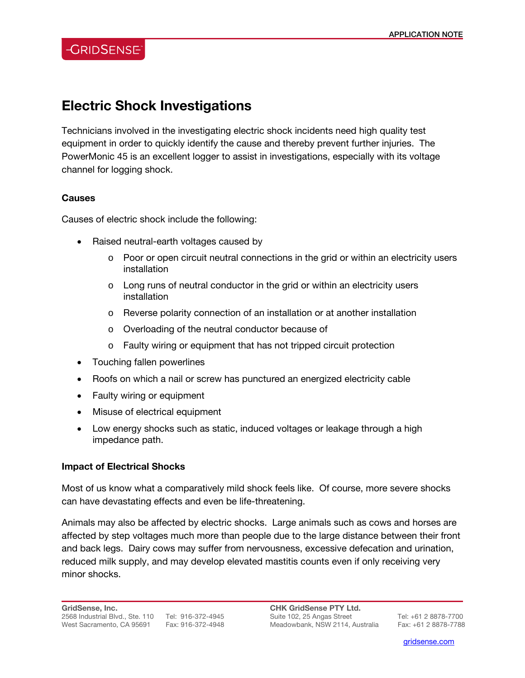## **-GRIDSENSE**

# **Electric Shock Investigations**

Technicians involved in the investigating electric shock incidents need high quality test equipment in order to quickly identify the cause and thereby prevent further injuries. The PowerMonic 45 is an excellent logger to assist in investigations, especially with its voltage channel for logging shock.

#### **Causes**

Causes of electric shock include the following:

- Raised neutral-earth voltages caused by
	- $\circ$  Poor or open circuit neutral connections in the grid or within an electricity users installation
	- $\circ$  Long runs of neutral conductor in the grid or within an electricity users installation
	- o Reverse polarity connection of an installation or at another installation
	- o Overloading of the neutral conductor because of
	- o Faulty wiring or equipment that has not tripped circuit protection
- Touching fallen powerlines
- Roofs on which a nail or screw has punctured an energized electricity cable
- Faulty wiring or equipment
- Misuse of electrical equipment
- Low energy shocks such as static, induced voltages or leakage through a high impedance path.

#### **Impact of Electrical Shocks**

Most of us know what a comparatively mild shock feels like. Of course, more severe shocks can have devastating effects and even be life-threatening.

Animals may also be affected by electric shocks. Large animals such as cows and horses are affected by step voltages much more than people due to the large distance between their front and back legs. Dairy cows may suffer from nervousness, excessive defecation and urination, reduced milk supply, and may develop elevated mastitis counts even if only receiving very minor shocks.

l

gridsense.com i de la companya de la companya de la companya de la companya de la companya de la companya de l